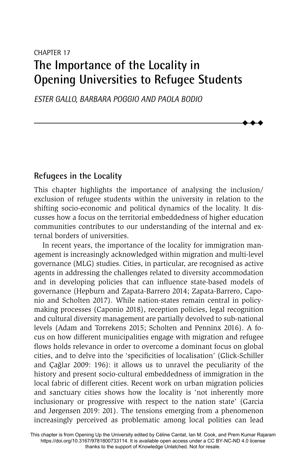# CHAPTER 17 **The Importance of the Locality in Opening Universities to Refugee Students**

*ESTER GALLO, BARBARA POGGIO AND PAOLA BODIO*

# **Refugees in the Locality**

This chapter highlights the importance of analysing the inclusion/ exclusion of refugee students within the university in relation to the shifting socio-economic and political dynamics of the locality. It discusses how a focus on the territorial embeddedness of higher education communities contributes to our understanding of the internal and external borders of universities.

 $\blacklozenge$  $\blacklozenge$  $\blacklozenge$ 

In recent years, the importance of the locality for immigration management is increasingly acknowledged within migration and multi-level governance (MLG) studies. Cities, in particular, are recognised as active agents in addressing the challenges related to diversity accommodation and in developing policies that can influence state-based models of governance (Hepburn and Zapata-Barrero 2014; Zapata-Barrero, Caponio and Scholten 2017). While nation-states remain central in policymaking processes (Caponio 2018), reception policies, legal recognition and cultural diversity management are partially devolved to sub-national levels (Adam and Torrekens 2015; Scholten and Penninx 2016). A focus on how different municipalities engage with migration and refugee flows holds relevance in order to overcome a dominant focus on global cities, and to delve into the 'specificities of localisation' (Glick-Schiller and Cağlar 2009: 196): it allows us to unravel the peculiarity of the history and present socio-cultural embeddedness of immigration in the local fabric of different cities. Recent work on urban migration policies and sanctuary cities shows how the locality is 'not inherently more inclusionary or progressive with respect to the nation state' (Garcia and Jørgensen 2019: 201). The tensions emerging from a phenomenon increasingly perceived as problematic among local polities can lead

This chapter is from Opening Up the University edited by Céline Cantat, Ian M. Cook, and Prem Kumar Rajaram https://doi.org/10.3167/9781800733114. It is available open access under a CC BY-NC-ND 4.0 license thanks to the support of Knowledge Unlatched. Not for resale.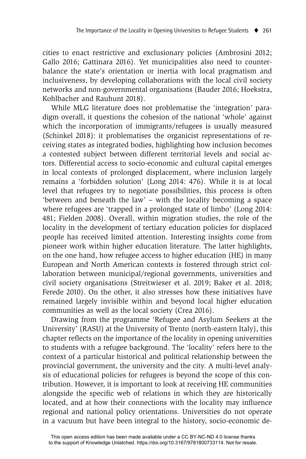cities to enact restrictive and exclusionary policies (Ambrosini 2012; Gallo 2016; Gattinara 2016). Yet municipalities also need to counterbalance the state's orientation or inertia with local pragmatism and inclusiveness, by developing collaborations with the local civil society networks and non-governmental organisations (Bauder 2016; Hoekstra, Kohlbacher and Rauhunt 2018).

While MLG literature does not problematise the 'integration' paradigm overall, it questions the cohesion of the national 'whole' against which the incorporation of immigrants/refugees is usually measured (Schinkel 2018): it problematises the organicist representations of receiving states as integrated bodies, highlighting how inclusion becomes a contested subject between different territorial levels and social actors. Differential access to socio-economic and cultural capital emerges in local contexts of prolonged displacement, where inclusion largely remains a 'forbidden solution' (Long 2014: 476). While it is at local level that refugees try to negotiate possibilities, this process is often 'between and beneath the law' – with the locality becoming a space where refugees are 'trapped in a prolonged state of limbo' (Long 2014: 481; Fielden 2008). Overall, within migration studies, the role of the locality in the development of tertiary education policies for displaced people has received limited attention. Interesting insights come from pioneer work within higher education literature. The latter highlights, on the one hand, how refugee access to higher education (HE) in many European and North American contexts is fostered through strict collaboration between municipal/regional governments, universities and civil society organisations (Streitwieser et al. 2019; Baker et al. 2018; Ferede 2010). On the other, it also stresses how these initiatives have remained largely invisible within and beyond local higher education communities as well as the local society (Crea 2016).

Drawing from the programme 'Refugee and Asylum Seekers at the University' (RASU) at the University of Trento (north-eastern Italy), this chapter reflects on the importance of the locality in opening universities to students with a refugee background. The 'locality' refers here to the context of a particular historical and political relationship between the provincial government, the university and the city. A multi-level analysis of educational policies for refugees is beyond the scope of this contribution. However, it is important to look at receiving HE communities alongside the specific web of relations in which they are historically located, and at how their connections with the locality may influence regional and national policy orientations. Universities do not operate in a vacuum but have been integral to the history, socio-economic de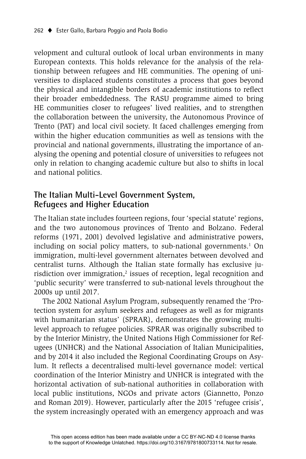velopment and cultural outlook of local urban environments in many European contexts. This holds relevance for the analysis of the relationship between refugees and HE communities. The opening of universities to displaced students constitutes a process that goes beyond the physical and intangible borders of academic institutions to reflect their broader embeddedness. The RASU programme aimed to bring HE communities closer to refugees' lived realities, and to strengthen the collaboration between the university, the Autonomous Province of Trento (PAT) and local civil society. It faced challenges emerging from within the higher education communities as well as tensions with the provincial and national governments, illustrating the importance of analysing the opening and potential closure of universities to refugees not only in relation to changing academic culture but also to shifts in local and national politics.

# **The Italian Multi-Level Government System, Refugees and Higher Education**

The Italian state includes fourteen regions, four 'special statute' regions, and the two autonomous provinces of Trento and Bolzano. Federal reforms (1971, 2001) devolved legislative and administrative powers, including on social policy matters, to sub-national governments.<sup>1</sup> On immigration, multi-level government alternates between devolved and centralist turns. Although the Italian state formally has exclusive jurisdiction over immigration, $2$  issues of reception, legal recognition and 'public security' were transferred to sub-national levels throughout the 2000s up until 2017.

The 2002 National Asylum Program, subsequently renamed the 'Protection system for asylum seekers and refugees as well as for migrants with humanitarian status' (SPRAR), demonstrates the growing multilevel approach to refugee policies. SPRAR was originally subscribed to by the Interior Ministry, the United Nations High Commissioner for Refugees (UNHCR) and the National Association of Italian Municipalities, and by 2014 it also included the Regional Coordinating Groups on Asylum. It reflects a decentralised multi-level governance model: vertical coordination of the Interior Ministry and UNHCR is integrated with the horizontal activation of sub-national authorities in collaboration with local public institutions, NGOs and private actors (Giannetto, Ponzo and Roman 2019). However, particularly after the 2015 'refugee crisis', the system increasingly operated with an emergency approach and was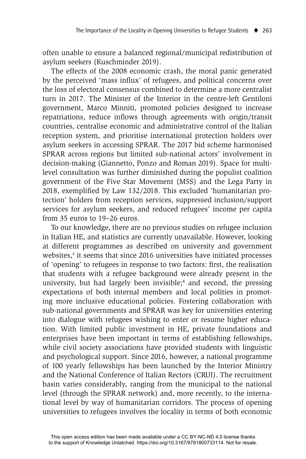often unable to ensure a balanced regional/municipal redistribution of asylum seekers (Kuschminder 2019).

The effects of the 2008 economic crash, the moral panic generated by the perceived 'mass influx' of refugees, and political concerns over the loss of electoral consensus combined to determine a more centralist turn in 2017. The Minister of the Interior in the centre-left Gentiloni government, Marco Minniti, promoted policies designed to increase repatriations, reduce inflows through agreements with origin/transit countries, centralise economic and administrative control of the Italian reception system, and prioritise international protection holders over asylum seekers in accessing SPRAR. The 2017 bid scheme harmonised SPRAR across regions but limited sub-national actors' involvement in decision-making (Giannetto, Ponzo and Roman 2019). Space for multilevel consultation was further diminished during the populist coalition government of the Five Star Movement (M5S) and the Lega Party in 2018, exemplified by Law 132/2018. This excluded 'humanitarian protection' holders from reception services, suppressed inclusion/support services for asylum seekers, and reduced refugees' income per capita from 35 euros to 19–26 euros.

To our knowledge, there are no previous studies on refugee inclusion in Italian HE, and statistics are currently unavailable. However, looking at different programmes as described on university and government websites,<sup>3</sup> it seems that since 2016 universities have initiated processes of 'opening' to refugees in response to two factors: first, the realisation that students with a refugee background were already present in the university, but had largely been invisible;<sup>4</sup> and second, the pressing expectations of both internal members and local polities in promoting more inclusive educational policies. Fostering collaboration with sub-national governments and SPRAR was key for universities entering into dialogue with refugees wishing to enter or resume higher education. With limited public investment in HE, private foundations and enterprises have been important in terms of establishing fellowships, while civil society associations have provided students with linguistic and psychological support. Since 2016, however, a national programme of 100 yearly fellowships has been launched by the Interior Ministry and the National Conference of Italian Rectors (CRUI). The recruitment basin varies considerably, ranging from the municipal to the national level (through the SPRAR network) and, more recently, to the international level by way of humanitarian corridors. The process of opening universities to refugees involves the locality in terms of both economic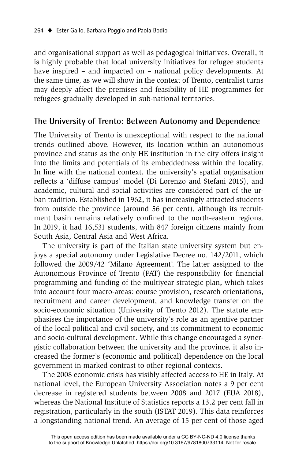and organisational support as well as pedagogical initiatives. Overall, it is highly probable that local university initiatives for refugee students have inspired – and impacted on – national policy developments. At the same time, as we will show in the context of Trento, centralist turns may deeply affect the premises and feasibility of HE programmes for refugees gradually developed in sub-national territories.

## **The University of Trento: Between Autonomy and Dependence**

The University of Trento is unexceptional with respect to the national trends outlined above. However, its location within an autonomous province and status as the only HE institution in the city offers insight into the limits and potentials of its embeddedness within the locality. In line with the national context, the university's spatial organisation reflects a 'diffuse campus' model (Di Lorenzo and Stefani 2015), and academic, cultural and social activities are considered part of the urban tradition. Established in 1962, it has increasingly attracted students from outside the province (around 56 per cent), although its recruitment basin remains relatively confined to the north-eastern regions. In 2019, it had 16,531 students, with 847 foreign citizens mainly from South Asia, Central Asia and West Africa.

The university is part of the Italian state university system but enjoys a special autonomy under Legislative Decree no. 142/2011, which followed the 2009/42 'Milano Agreement'. The latter assigned to the Autonomous Province of Trento (PAT) the responsibility for financial programming and funding of the multiyear strategic plan, which takes into account four macro-areas: course provision, research orientations, recruitment and career development, and knowledge transfer on the socio-economic situation (University of Trento 2012). The statute emphasises the importance of the university's role as an agentive partner of the local political and civil society, and its commitment to economic and socio-cultural development. While this change encouraged a synergistic collaboration between the university and the province, it also increased the former's (economic and political) dependence on the local government in marked contrast to other regional contexts.

The 2008 economic crisis has visibly affected access to HE in Italy. At national level, the European University Association notes a 9 per cent decrease in registered students between 2008 and 2017 (EUA 2018), whereas the National Institute of Statistics reports a 13.2 per cent fall in registration, particularly in the south (ISTAT 2019). This data reinforces a longstanding national trend. An average of 15 per cent of those aged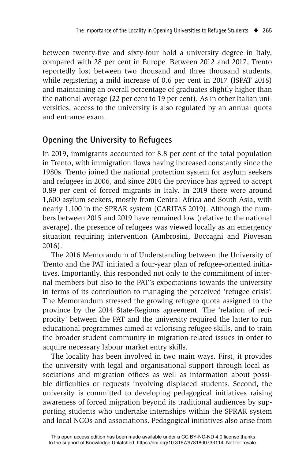between twenty-five and sixty-four hold a university degree in Italy, compared with 28 per cent in Europe. Between 2012 and 2017, Trento reportedly lost between two thousand and three thousand students, while registering a mild increase of 0.6 per cent in 2017 (ISPAT 2018) and maintaining an overall percentage of graduates slightly higher than the national average (22 per cent to 19 per cent). As in other Italian universities, access to the university is also regulated by an annual quota and entrance exam.

# **Opening the University to Refugees**

In 2019, immigrants accounted for 8.8 per cent of the total population in Trento, with immigration flows having increased constantly since the 1980s. Trento joined the national protection system for asylum seekers and refugees in 2006, and since 2014 the province has agreed to accept 0.89 per cent of forced migrants in Italy. In 2019 there were around 1,600 asylum seekers, mostly from Central Africa and South Asia, with nearly 1,100 in the SPRAR system (CARITAS 2019). Although the numbers between 2015 and 2019 have remained low (relative to the national average), the presence of refugees was viewed locally as an emergency situation requiring intervention (Ambrosini, Boccagni and Piovesan 2016).

The 2016 Memorandum of Understanding between the University of Trento and the PAT initiated a four-year plan of refugee-oriented initiatives. Importantly, this responded not only to the commitment of internal members but also to the PAT's expectations towards the university in terms of its contribution to managing the perceived 'refugee crisis'. The Memorandum stressed the growing refugee quota assigned to the province by the 2014 State-Regions agreement. The 'relation of reciprocity' between the PAT and the university required the latter to run educational programmes aimed at valorising refugee skills, and to train the broader student community in migration-related issues in order to acquire necessary labour market entry skills.

The locality has been involved in two main ways. First, it provides the university with legal and organisational support through local associations and migration offices as well as information about possible difficulties or requests involving displaced students. Second, the university is committed to developing pedagogical initiatives raising awareness of forced migration beyond its traditional audiences by supporting students who undertake internships within the SPRAR system and local NGOs and associations. Pedagogical initiatives also arise from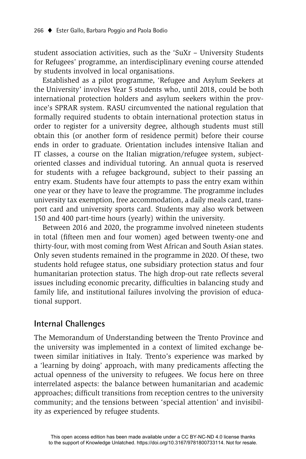student association activities, such as the 'SuXr – University Students for Refugees' programme, an interdisciplinary evening course attended by students involved in local organisations.

Established as a pilot programme, 'Refugee and Asylum Seekers at the University' involves Year 5 students who, until 2018, could be both international protection holders and asylum seekers within the province's SPRAR system. RASU circumvented the national regulation that formally required students to obtain international protection status in order to register for a university degree, although students must still obtain this (or another form of residence permit) before their course ends in order to graduate. Orientation includes intensive Italian and IT classes, a course on the Italian migration/refugee system, subjectoriented classes and individual tutoring. An annual quota is reserved for students with a refugee background, subject to their passing an entry exam. Students have four attempts to pass the entry exam within one year or they have to leave the programme. The programme includes university tax exemption, free accommodation, a daily meals card, transport card and university sports card. Students may also work between 150 and 400 part-time hours (yearly) within the university.

Between 2016 and 2020, the programme involved nineteen students in total (fifteen men and four women) aged between twenty-one and thirty-four, with most coming from West African and South Asian states. Only seven students remained in the programme in 2020. Of these, two students hold refugee status, one subsidiary protection status and four humanitarian protection status. The high drop-out rate reflects several issues including economic precarity, difficulties in balancing study and family life, and institutional failures involving the provision of educational support.

# **Internal Challenges**

The Memorandum of Understanding between the Trento Province and the university was implemented in a context of limited exchange between similar initiatives in Italy. Trento's experience was marked by a 'learning by doing' approach, with many predicaments affecting the actual openness of the university to refugees. We focus here on three interrelated aspects: the balance between humanitarian and academic approaches; difficult transitions from reception centres to the university community; and the tensions between 'special attention' and invisibility as experienced by refugee students.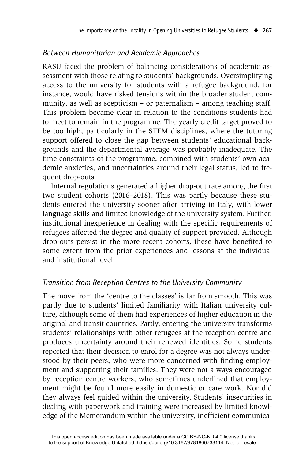#### *Between Humanitarian and Academic Approaches*

RASU faced the problem of balancing considerations of academic assessment with those relating to students' backgrounds. Oversimplifying access to the university for students with a refugee background, for instance, would have risked tensions within the broader student community, as well as scepticism – or paternalism – among teaching staff. This problem became clear in relation to the conditions students had to meet to remain in the programme. The yearly credit target proved to be too high, particularly in the STEM disciplines, where the tutoring support offered to close the gap between students' educational backgrounds and the departmental average was probably inadequate. The time constraints of the programme, combined with students' own academic anxieties, and uncertainties around their legal status, led to frequent drop-outs.

Internal regulations generated a higher drop-out rate among the first two student cohorts (2016–2018). This was partly because these students entered the university sooner after arriving in Italy, with lower language skills and limited knowledge of the university system. Further, institutional inexperience in dealing with the specific requirements of refugees affected the degree and quality of support provided. Although drop-outs persist in the more recent cohorts, these have benefited to some extent from the prior experiences and lessons at the individual and institutional level.

## *Transition from Reception Centres to the University Community*

The move from the 'centre to the classes' is far from smooth. This was partly due to students' limited familiarity with Italian university culture, although some of them had experiences of higher education in the original and transit countries. Partly, entering the university transforms students' relationships with other refugees at the reception centre and produces uncertainty around their renewed identities. Some students reported that their decision to enrol for a degree was not always understood by their peers, who were more concerned with finding employment and supporting their families. They were not always encouraged by reception centre workers, who sometimes underlined that employment might be found more easily in domestic or care work. Nor did they always feel guided within the university. Students' insecurities in dealing with paperwork and training were increased by limited knowledge of the Memorandum within the university, inefficient communica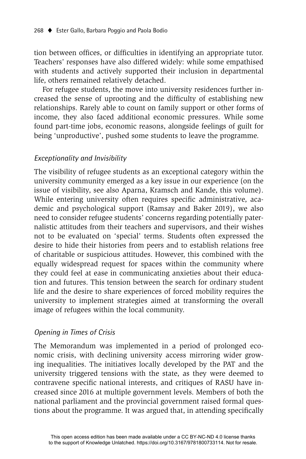tion between offices, or difficulties in identifying an appropriate tutor. Teachers' responses have also differed widely: while some empathised with students and actively supported their inclusion in departmental life, others remained relatively detached.

For refugee students, the move into university residences further increased the sense of uprooting and the difficulty of establishing new relationships. Rarely able to count on family support or other forms of income, they also faced additional economic pressures. While some found part-time jobs, economic reasons, alongside feelings of guilt for being 'unproductive', pushed some students to leave the programme.

#### *Exceptionality and Invisibility*

The visibility of refugee students as an exceptional category within the university community emerged as a key issue in our experience (on the issue of visibility, see also Aparna, Kramsch and Kande, this volume). While entering university often requires specific administrative, academic and psychological support (Ramsay and Baker 2019), we also need to consider refugee students' concerns regarding potentially paternalistic attitudes from their teachers and supervisors, and their wishes not to be evaluated on 'special' terms. Students often expressed the desire to hide their histories from peers and to establish relations free of charitable or suspicious attitudes. However, this combined with the equally widespread request for spaces within the community where they could feel at ease in communicating anxieties about their education and futures. This tension between the search for ordinary student life and the desire to share experiences of forced mobility requires the university to implement strategies aimed at transforming the overall image of refugees within the local community.

#### *Opening in Times of Crisis*

The Memorandum was implemented in a period of prolonged economic crisis, with declining university access mirroring wider growing inequalities. The initiatives locally developed by the PAT and the university triggered tensions with the state, as they were deemed to contravene specific national interests, and critiques of RASU have increased since 2016 at multiple government levels. Members of both the national parliament and the provincial government raised formal questions about the programme. It was argued that, in attending specifically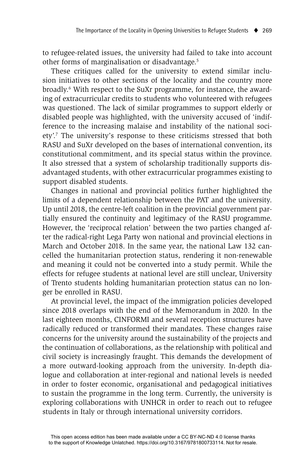to refugee-related issues, the university had failed to take into account other forms of marginalisation or disadvantage.5

These critiques called for the university to extend similar inclusion initiatives to other sections of the locality and the country more broadly.6 With respect to the SuXr programme, for instance, the awarding of extracurricular credits to students who volunteered with refugees was questioned. The lack of similar programmes to support elderly or disabled people was highlighted, with the university accused of 'indifference to the increasing malaise and instability of the national society'.7 The university's response to these criticisms stressed that both RASU and SuXr developed on the bases of international convention, its constitutional commitment, and its special status within the province. It also stressed that a system of scholarship traditionally supports disadvantaged students, with other extracurricular programmes existing to support disabled students.

Changes in national and provincial politics further highlighted the limits of a dependent relationship between the PAT and the university. Up until 2018, the centre-left coalition in the provincial government partially ensured the continuity and legitimacy of the RASU programme. However, the 'reciprocal relation' between the two parties changed after the radical-right Lega Party won national and provincial elections in March and October 2018. In the same year, the national Law 132 cancelled the humanitarian protection status, rendering it non-renewable and meaning it could not be converted into a study permit. While the effects for refugee students at national level are still unclear, University of Trento students holding humanitarian protection status can no longer be enrolled in RASU.

At provincial level, the impact of the immigration policies developed since 2018 overlaps with the end of the Memorandum in 2020. In the last eighteen months, CINFORMI and several reception structures have radically reduced or transformed their mandates. These changes raise concerns for the university around the sustainability of the projects and the continuation of collaborations, as the relationship with political and civil society is increasingly fraught. This demands the development of a more outward-looking approach from the university. In-depth dialogue and collaboration at inter-regional and national levels is needed in order to foster economic, organisational and pedagogical initiatives to sustain the programme in the long term. Currently, the university is exploring collaborations with UNHCR in order to reach out to refugee students in Italy or through international university corridors.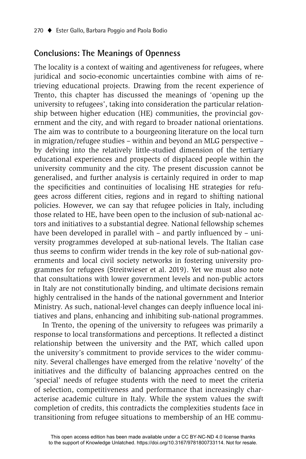# **Conclusions: The Meanings of Openness**

The locality is a context of waiting and agentiveness for refugees, where juridical and socio-economic uncertainties combine with aims of retrieving educational projects. Drawing from the recent experience of Trento, this chapter has discussed the meanings of 'opening up the university to refugees', taking into consideration the particular relationship between higher education (HE) communities, the provincial government and the city, and with regard to broader national orientations. The aim was to contribute to a bourgeoning literature on the local turn in migration/refugee studies – within and beyond an MLG perspective – by delving into the relatively little-studied dimension of the tertiary educational experiences and prospects of displaced people within the university community and the city. The present discussion cannot be generalised, and further analysis is certainly required in order to map the specificities and continuities of localising HE strategies for refugees across different cities, regions and in regard to shifting national policies. However, we can say that refugee policies in Italy, including those related to HE, have been open to the inclusion of sub-national actors and initiatives to a substantial degree. National fellowship schemes have been developed in parallel with  $-$  and partly influenced by  $-$  university programmes developed at sub-national levels. The Italian case thus seems to confirm wider trends in the key role of sub-national governments and local civil society networks in fostering university programmes for refugees (Streitwieser et al. 2019). Yet we must also note that consultations with lower government levels and non-public actors in Italy are not constitutionally binding, and ultimate decisions remain highly centralised in the hands of the national government and Interior Ministry. As such, national-level changes can deeply influence local initiatives and plans, enhancing and inhibiting sub-national programmes.

In Trento, the opening of the university to refugees was primarily a response to local transformations and perceptions. It reflected a distinct relationship between the university and the PAT, which called upon the university's commitment to provide services to the wider community. Several challenges have emerged from the relative 'novelty' of the initiatives and the difficulty of balancing approaches centred on the 'special' needs of refugee students with the need to meet the criteria of selection, competitiveness and performance that increasingly characterise academic culture in Italy. While the system values the swift completion of credits, this contradicts the complexities students face in transitioning from refugee situations to membership of an HE commu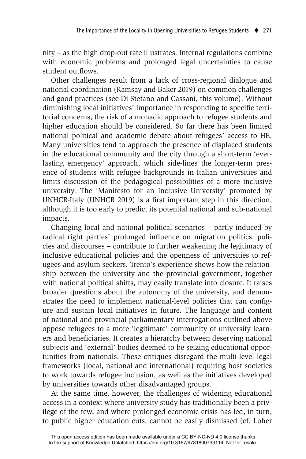nity – as the high drop-out rate illustrates. Internal regulations combine with economic problems and prolonged legal uncertainties to cause student outflows.

Other challenges result from a lack of cross-regional dialogue and national coordination (Ramsay and Baker 2019) on common challenges and good practices (see Di Stefano and Cassani, this volume). Without diminishing local initiatives' importance in responding to specific territorial concerns, the risk of a monadic approach to refugee students and higher education should be considered. So far there has been limited national political and academic debate about refugees' access to HE. Many universities tend to approach the presence of displaced students in the educational community and the city through a short-term 'everlasting emergency' approach, which side-lines the longer-term presence of students with refugee backgrounds in Italian universities and limits discussion of the pedagogical possibilities of a more inclusive university. The 'Manifesto for an Inclusive University' promoted by UNHCR-Italy (UNHCR 2019) is a first important step in this direction, although it is too early to predict its potential national and sub-national impacts.

Changing local and national political scenarios – partly induced by radical right parties' prolonged influence on migration politics, policies and discourses – contribute to further weakening the legitimacy of inclusive educational policies and the openness of universities to refugees and asylum seekers. Trento's experience shows how the relationship between the university and the provincial government, together with national political shifts, may easily translate into closure. It raises broader questions about the autonomy of the university, and demonstrates the need to implement national-level policies that can configure and sustain local initiatives in future. The language and content of national and provincial parliamentary interrogations outlined above oppose refugees to a more 'legitimate' community of university learners and beneficiaries. It creates a hierarchy between deserving national subjects and 'external' bodies deemed to be seizing educational opportunities from nationals. These critiques disregard the multi-level legal frameworks (local, national and international) requiring host societies to work towards refugee inclusion, as well as the initiatives developed by universities towards other disadvantaged groups.

At the same time, however, the challenges of widening educational access in a context where university study has traditionally been a privilege of the few, and where prolonged economic crisis has led, in turn, to public higher education cuts, cannot be easily dismissed (cf. Loher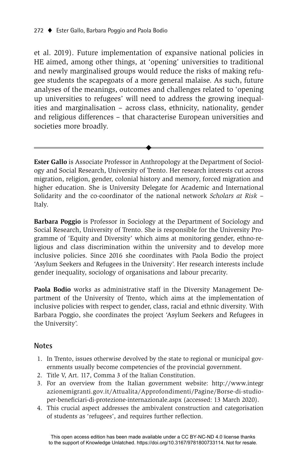et al. 2019). Future implementation of expansive national policies in HE aimed, among other things, at 'opening' universities to traditional and newly marginalised groups would reduce the risks of making refugee students the scapegoats of a more general malaise. As such, future analyses of the meanings, outcomes and challenges related to 'opening up universities to refugees' will need to address the growing inequalities and marginalisation – across class, ethnicity, nationality, gender and religious differences – that characterise European universities and societies more broadly.

**Ester Gallo** is Associate Professor in Anthropology at the Department of Sociology and Social Research, University of Trento. Her research interests cut across migration, religion, gender, colonial history and memory, forced migration and higher education. She is University Delegate for Academic and International Solidarity and the co-coordinator of the national network *Scholars at Risk* – Italy.

 $\ddot{\bullet}$ 

**Barbara Poggio** is Professor in Sociology at the Department of Sociology and Social Research, University of Trento. She is responsible for the University Programme of 'Equity and Diversity' which aims at monitoring gender, ethno-religious and class discrimination within the university and to develop more inclusive policies. Since 2016 she coordinates with Paola Bodio the project 'Asylum Seekers and Refugees in the University'. Her research interests include gender inequality, sociology of organisations and labour precarity.

**Paola Bodio** works as administrative staff in the Diversity Management Department of the University of Trento, which aims at the implementation of inclusive policies with respect to gender, class, racial and ethnic diversity. With Barbara Poggio, she coordinates the project 'Asylum Seekers and Refugees in the University'.

#### **Notes**

- 1. In Trento, issues otherwise devolved by the state to regional or municipal governments usually become competencies of the provincial government.
- 2. Title V, Art. 117, Comma 3 of the Italian Constitution.
- 3. For an overview from the Italian government website: http://www.integr azionemigranti.gov.it/Attualita/Approfondimenti/Pagine/Borse-di-studioper-beneficiari-di-protezione-internazionale.aspx (accessed: 13 March 2020).
- 4. This crucial aspect addresses the ambivalent construction and categorisation of students as 'refugees', and requires further reflection.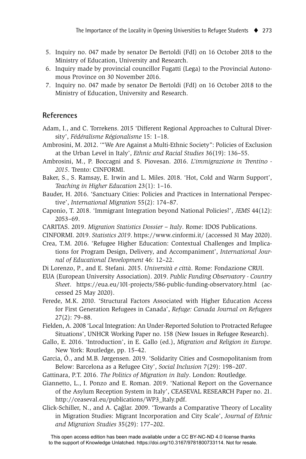- 5. Inquiry no. 047 made by senator De Bertoldi (FdI) on 16 October 2018 to the Ministry of Education, University and Research.
- 6. Inquiry made by provincial councillor Fugatti (Lega) to the Provincial Autonomous Province on 30 November 2016.
- 7. Inquiry no. 047 made by senator De Bertoldi (FdI) on 16 October 2018 to the Ministry of Education, University and Research.

## **References**

- Adam, I., and C. Torrekens. 2015 'Different Regional Approaches to Cultural Diversity', *Fédéralisme Régionalisme* 15: 1–18.
- Ambrosini, M. 2012. '"We Are Against a Multi-Ethnic Society": Policies of Exclusion at the Urban Level in Italy', *Ethnic and Racial Studies* 36(19): 136–55.
- Ambrosini, M., P. Boccagni and S. Piovesan. 2016. *L'immigrazione in Trentino 2015*. Trento: CINFORMI.
- Baker, S., S. Ramsay, E. Irwin and L. Miles. 2018. 'Hot, Cold and Warm Support', *Teaching in Higher Education* 23(1): 1–16.
- Bauder, H. 2016. 'Sanctuary Cities: Policies and Practices in International Perspective', *International Migration* 55(2): 174–87.
- Caponio, T. 2018. 'Immigrant Integration beyond National Policies?', *JEMS* 44(12): 2053–69.
- CARITAS. 2019. *Migration Statistics Dossier Italy*. Rome: IDOS Publications.
- CINFORMI. 2019. *Statistics 2019*. https://www.cinformi.it/ (accessed 31 May 2020).
- Crea, T.M. 2016. 'Refugee Higher Education: Contextual Challenges and Implications for Program Design, Delivery, and Accompaniment', *International Journal of Educational Development* 46: 12–22.
- Di Lorenzo, P., and E. Stefani. 2015. *Università e città*. Rome: Fondazione CRUI.
- EUA (European University Association). 2019. *Public Funding Observatory Country Sheet*. https://eua.eu/101-projects/586-public-funding-observatory.html (accessed 25 May 2020).
- Ferede, M.K. 2010. 'Structural Factors Associated with Higher Education Access for First Generation Refugees in Canada', *Refuge: Canada Journal on Refugees* 27(2): 79–88.
- Fielden, A. 2008 'Local Integration: An Under-Reported Solution to Protracted Refugee Situations', UNHCR Working Paper no. 158 (New Issues in Refugee Research).
- Gallo, E. 2016. 'Introduction', in E. Gallo (ed.), *Migration and Religion in Europe*. New York: Routledge, pp. 15–42.
- Garcia, Ó., and M.B. Jørgensen. 2019. 'Solidarity Cities and Cosmopolitanism from Below: Barcelona as a Refugee City', *Social Inclusion* 7(29): 198–207.
- Gattinara, P.T. 2016. *The Politics of Migration in Italy*. London: Routledge.
- Giannetto, L., I. Ponzo and E. Roman. 2019. 'National Report on the Governance of the Asylum Reception System in Italy', CEASEVAL RESEARCH Paper no. 21. http://ceaseval.eu/publications/WP3\_Italy.pdf.
- Glick-Schiller, N., and A. Çağlar. 2009. 'Towards a Comparative Theory of Locality in Migration Studies: Migrant Incorporation and City Scale', *Journal of Ethnic and Migration Studies* 35(29): 177–202.